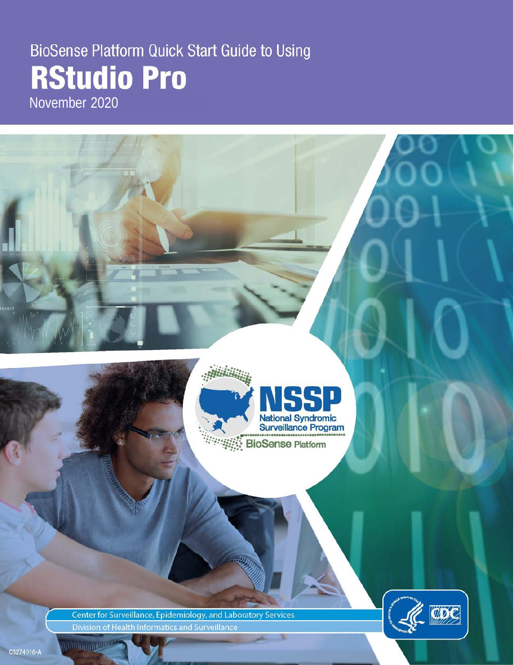# BioSense Platform Quick Start Guide to Using **RStudio Pro**

November 2020



Center for Surveillance, Epidemiology, and Laboratory Services Division of Health Informatics and Surveillance



CS274018-A

**MARITAN MARITIM**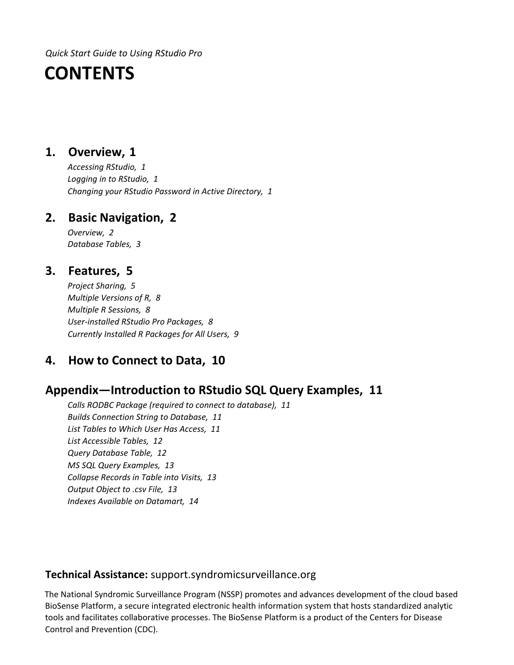*Quick Start Guide to Using RStudio Pro*

# **CONTENTS**

# **1. [Overview,](#page-2-0) 1**

*[Accessing RStudio,](#page-2-1) 1 [Logging in to RStudio,](#page-2-2) 1 [Changing your RStudio](#page-2-3) Password in Active Directory, 1*

# **2. [Basic Navigation,](#page-3-0) 2**

*[Overview,](#page-3-1) 2 [Database Tables,](#page-4-0) 3*

# **3. [Features,](#page-6-0) 5**

*[Project Sharing,](#page-6-1) 5 [Multiple Versions of R,](#page-9-0) 8 [Multiple R Sessions,](#page-9-1) 8 [User-installed RStudio Pro Packages,](#page-9-2) 8 [Currently Installed R Packages for All Users,](#page-9-2) 9*

# **4. [How to Connect to Data,](#page-11-0) 10**

# **[Appendix—Introduction to RStudio SQL Query Examples,](#page-12-0) 11**

*[Calls RODBC Package \(required to](#page-12-1) connect to database), 11 [Builds Connection String to Database,](#page-12-2) 11 [List Tables to Which User Has Access,](#page-12-3) 11 [List Accessible Tables,](#page-13-0) 12 [Query Database Table,](#page-13-1) 12 [MS SQL Query Examples,](#page-13-2) 13 [Collapse Records in Table into Visits,](#page-14-0) 13 [Output Object to .csv File,](#page-14-1) 13 [Indexes Available on Datamart,](#page-15-0) 14* 

# **Technical Assistance:** [support.syndromicsurveillance.org](https://icf-biosense.atlassian.net/servicedesk/customer/portal/5/user/login?destination=portal%2F5)

The National Syndromic Surveillance Program (NSSP) promotes and advances development of the cloud based BioSense Platform, a secure integrated electronic health information system that hosts standardized analytic tools and facilitates collaborative processes. The BioSense Platform is a product of the Centers for Disease Control and Prevention (CDC).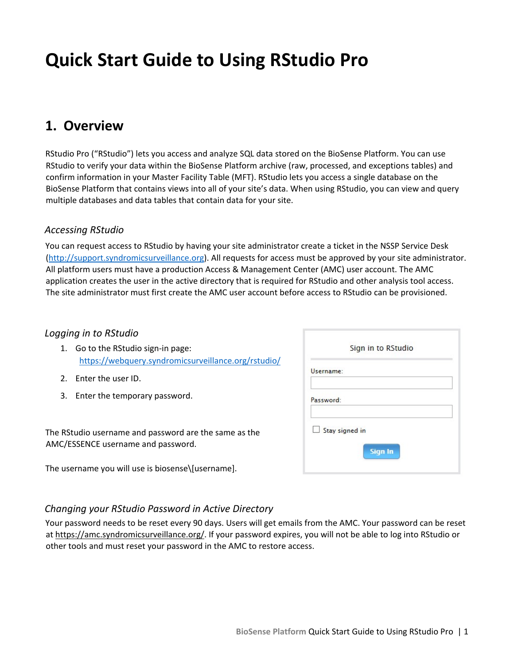# **Quick Start Guide to Using RStudio Pro**

# <span id="page-2-0"></span>**1. Overview**

RStudio Pro ("RStudio") lets you access and analyze SQL data stored on the BioSense Platform. You can use RStudio to verify your data within the BioSense Platform archive (raw, processed, and exceptions tables) and confirm information in your Master Facility Table (MFT). RStudio lets you access a single database on the BioSense Platform that contains views into all of your site's data. When using RStudio, you can view and query multiple databases and data tables that contain data for your site.

# <span id="page-2-1"></span>*Accessing RStudio*

You can request access to RStudio by having your site administrator create a ticket in the NSSP Service Desk [\(http://support.syndromicsurveillance.org\).](http://support.syndromicsurveillance.org/) All requests for access must be approved by your site administrator. All platform users must have a production Access & Management Center (AMC) user account. The AMC application creates the user in the active directory that is required for RStudio and other analysis tool access. The site administrator must first create the AMC user account before access to RStudio can be provisioned.

# <span id="page-2-2"></span>*Logging in to RStudio*

- 1. Go to the RStudio sign-in page: <https://webquery.syndromicsurveillance.org/rstudio/>
- 2. Enter the user ID.
- 3. Enter the temporary password.

The RStudio username and password are the same as the AMC/ESSENCE username and password.

The username you will use is biosense\[username].

|           | Sign in to RStudio |  |
|-----------|--------------------|--|
| Username: |                    |  |
| Password: |                    |  |
|           | Stay signed in     |  |
|           | <b>Sign In</b>     |  |

# <span id="page-2-3"></span>*Changing your RStudio Password in Active Directory*

Your password needs to be reset every 90 days. Users will get emails from the AMC. Your password can be reset a[t](https://amc.syndromicsurveillance.org/) [https://amc.syndromicsurveillance.org/.](https://amc.syndromicsurveillance.org/) If your password expires, you will not be able to log into RStudio or other tools and must reset your password in the AMC to restore access.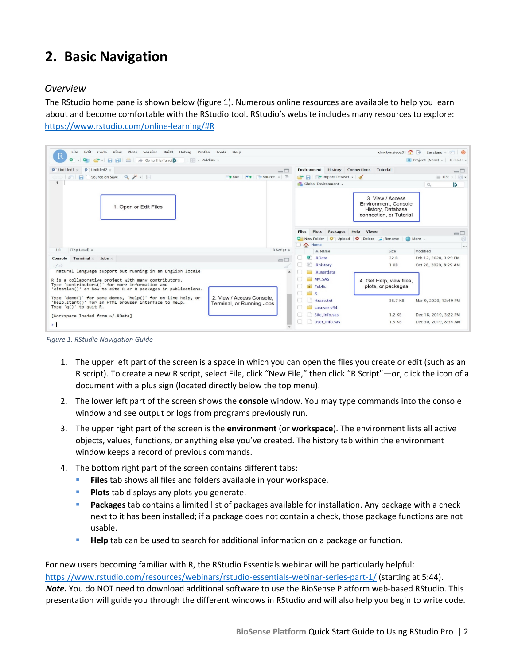# <span id="page-3-0"></span>**2. Basic Navigation**

# <span id="page-3-1"></span>*Overview*

The RStudio home pane is shown below (figure 1). Numerous online resources are available to help you learn about and become comfortable with the RStudio tool. RStudio's website includes many resources to explore: <https://www.rstudio.com/online-learning/#R>



*Figure 1. RStudio Navigation Guide*

- 1. The upper left part of the screen is a space in which you can open the files you create or edit (such as an R script). To create a new R script, select File, click "New File," then click "R Script"—or, click the icon of a document with a plus sign (located directly below the top menu).
- 2. The lower left part of the screen shows the **console** window. You may type commands into the console window and see output or logs from programs previously run.
- 3. The upper right part of the screen is the **environment** (or **workspace**). The environment lists all active objects, values, functions, or anything else you've created. The history tab within the environment window keeps a record of previous commands.
- 4. The bottom right part of the screen contains different tabs:
	- **Files** tab shows all files and folders available in your workspace.
	- **Plots** tab displays any plots you generate.
	- **Packages** tab contains a limited list of packages available for installation. Any package with a check next to it has been installed; if a package does not contain a check, those package functions are not usable.
	- **Help** tab can be used to search for additional information on a package or function.

For new users becoming familiar with R, the RStudio Essentials webinar will be particularly helpful: <https://www.rstudio.com/resources/webinars/rstudio-essentials-webinar-series-part-1/> [\(](https://www.rstudio.com/resources/webinars/rstudio-essentials-webinar-series-part-1/)starting at 5:44). *Note.* You do NOT need to download additional software to use the BioSense Platform web-based RStudio. This presentation will guide you through the different windows in RStudio and will also help you begin to write code.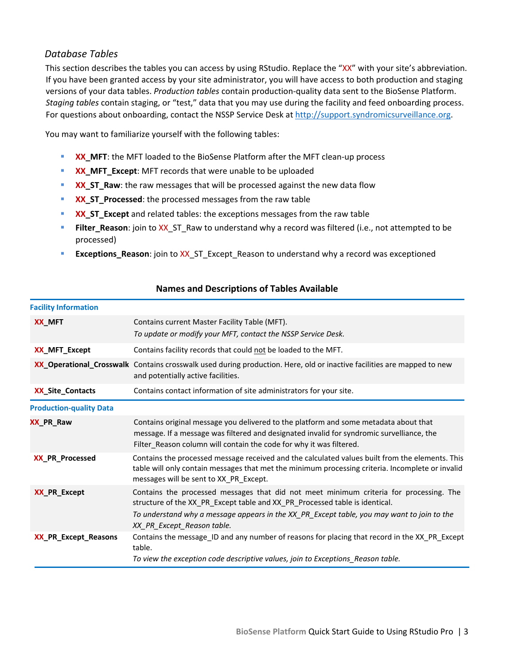# <span id="page-4-0"></span>*Database Tables*

This section describes the tables you can access by using RStudio. Replace the "XX" with your site's abbreviation. If you have been granted access by your site administrator, you will have access to both production and staging versions of your data tables. *Production tables* contain production-quality data sent to the BioSense Platform. *Staging tables* contain staging, or "test," data that you may use during the facility and feed onboarding process. For questions about onboarding, contact the NSSP Service Desk at http://support.syndromicsurveillance.org.

You may want to familiarize yourself with the following tables:

- **XX\_MFT**: the MFT loaded to the BioSense Platform after the MFT clean-up process
- **XX\_MFT\_Except:** MFT records that were unable to be uploaded
- **XX ST Raw**: the raw messages that will be processed against the new data flow
- **XX\_ST\_Processed:** the processed messages from the raw table
- **XX\_ST\_Except** and related tables: the exceptions messages from the raw table
- **Filter\_Reason**: join to XX\_ST\_Raw to understand why a record was filtered (i.e., not attempted to be processed)
- **Exceptions\_Reason**: join to XX\_ST\_Except\_Reason to understand why a record was exceptioned

| <b>Facility Information</b>    |                                                                                                                                                                                                                                                                                                   |  |  |  |
|--------------------------------|---------------------------------------------------------------------------------------------------------------------------------------------------------------------------------------------------------------------------------------------------------------------------------------------------|--|--|--|
| XX_MFT                         | Contains current Master Facility Table (MFT).<br>To update or modify your MFT, contact the NSSP Service Desk.                                                                                                                                                                                     |  |  |  |
| XX_MFT_Except                  | Contains facility records that could not be loaded to the MFT.                                                                                                                                                                                                                                    |  |  |  |
|                                | XX_Operational_Crosswalk Contains crosswalk used during production. Here, old or inactive facilities are mapped to new<br>and potentially active facilities.                                                                                                                                      |  |  |  |
| <b>XX_Site_Contacts</b>        | Contains contact information of site administrators for your site.                                                                                                                                                                                                                                |  |  |  |
| <b>Production-quality Data</b> |                                                                                                                                                                                                                                                                                                   |  |  |  |
| <b>XX_PR_Raw</b>               | Contains original message you delivered to the platform and some metadata about that<br>message. If a message was filtered and designated invalid for syndromic survelliance, the<br>Filter_Reason column will contain the code for why it was filtered.                                          |  |  |  |
| <b>XX_PR_Processed</b>         | Contains the processed message received and the calculated values built from the elements. This<br>table will only contain messages that met the minimum processing criteria. Incomplete or invalid<br>messages will be sent to XX_PR_Except.                                                     |  |  |  |
| XX_PR_Except                   | Contains the processed messages that did not meet minimum criteria for processing. The<br>structure of the XX_PR_Except table and XX_PR_Processed table is identical.<br>To understand why a message appears in the XX_PR_Except table, you may want to join to the<br>XX_PR_Except_Reason table. |  |  |  |
| XX_PR_Except_Reasons           | Contains the message_ID and any number of reasons for placing that record in the XX_PR_Except<br>table.<br>To view the exception code descriptive values, join to Exceptions_Reason table.                                                                                                        |  |  |  |

### **Names and Descriptions of Tables Available**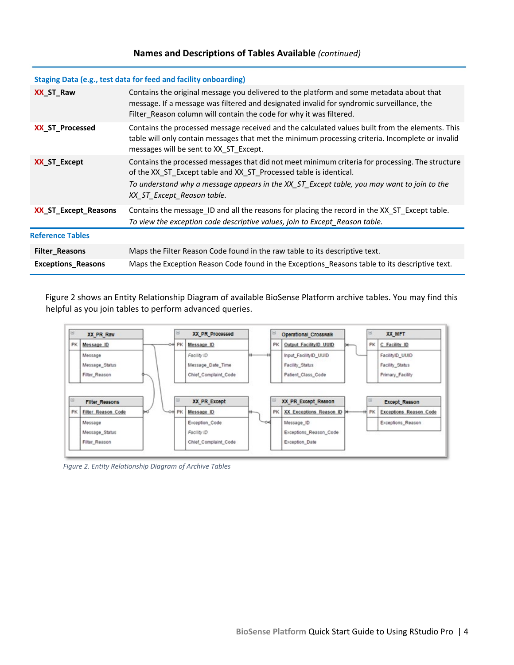#### **Names and Descriptions of Tables Available** *(continued)*

#### **Staging Data (e.g., test data for feed and facility onboarding)**

| Contains the original message you delivered to the platform and some metadata about that<br>message. If a message was filtered and designated invalid for syndromic surveillance, the<br>Filter Reason column will contain the code for why it was filtered.                                      |  |  |
|---------------------------------------------------------------------------------------------------------------------------------------------------------------------------------------------------------------------------------------------------------------------------------------------------|--|--|
| Contains the processed message received and the calculated values built from the elements. This<br>table will only contain messages that met the minimum processing criteria. Incomplete or invalid<br>messages will be sent to XX ST Except.                                                     |  |  |
| Contains the processed messages that did not meet minimum criteria for processing. The structure<br>of the XX ST Except table and XX ST Processed table is identical.<br>To understand why a message appears in the XX_ST_Except table, you may want to join to the<br>XX_ST_Except_Reason table. |  |  |
| Contains the message_ID and all the reasons for placing the record in the XX_ST_Except table.<br>To view the exception code descriptive values, join to Except Reason table.                                                                                                                      |  |  |
|                                                                                                                                                                                                                                                                                                   |  |  |
| Maps the Filter Reason Code found in the raw table to its descriptive text.                                                                                                                                                                                                                       |  |  |
| Maps the Exception Reason Code found in the Exceptions_Reasons table to its descriptive text.                                                                                                                                                                                                     |  |  |
|                                                                                                                                                                                                                                                                                                   |  |  |

Figure 2 shows an Entity Relationship Diagram of available BioSense Platform archive tables. You may find this helpful as you join tables to perform advanced queries.



*Figure 2. Entity Relationship Diagram of Archive Tables*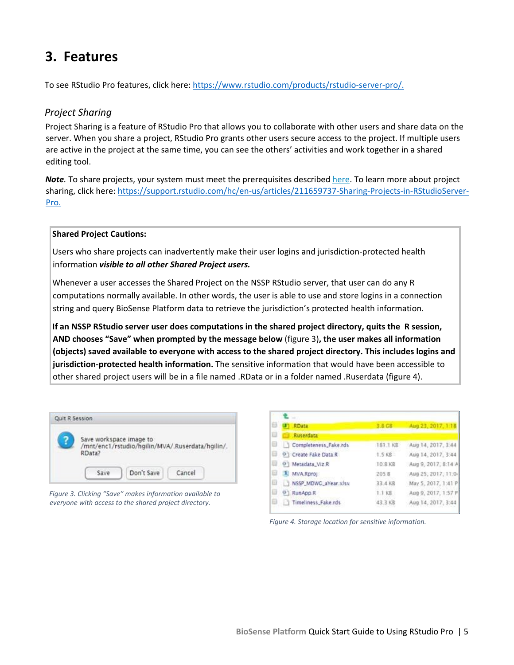# <span id="page-6-0"></span>**3. Features**

To see RStudio Pro features, click here: [https://www.rstudio.com/products/rstudio-server-pro/.](https://www.rstudio.com/products/rstudio-server-pro/) 

# <span id="page-6-1"></span>*Project Sharing*

Project Sharing is a feature of RStudio Pro that allows you to collaborate with other users and share data on the server. When you share a project, RStudio Pro grants other users secure access to the project. If multiple users are active in the project at the same time, you can see the others' activities and work together in a shared editing tool.

*Note.* To share projects, your system must meet the prerequisites described [here.](http://docs.rstudio.com/ide/server-pro/r-sessions.html#prerequisites-1) To learn more about project sharing, click here: [https://support.rstudio.com/hc/en-us/articles/211659737-Sharing-Projects-in-RStudioServer-](https://support.rstudio.com/hc/en-us/articles/211659737-Sharing-Projects-in-RStudio-Server-Pro)[Pro.](https://support.rstudio.com/hc/en-us/articles/211659737-Sharing-Projects-in-RStudio-Server-Pro) 

#### **Shared Project Cautions:**

Users who share projects can inadvertently make their user logins and jurisdiction-protected health information *visible to all other Shared Project users.* 

Whenever a user accesses the Shared Project on the NSSP RStudio server, that user can do any R computations normally available. In other words, the user is able to use and store logins in a connection string and query BioSense Platform data to retrieve the jurisdiction's protected health information.

**If an NSSP RStudio server user does computations in the shared project directory, quits the R session, AND chooses "Save" when prompted by the message below** (figure 3)**, the user makes all information (objects) saved available to everyone with access to the shared project directory. This includes logins and jurisdiction-protected health information.** The sensitive information that would have been accessible to other shared project users will be in a file named .RData or in a folder named .Ruserdata (figure 4).

| Save workspace image to<br>/mnt/enc1/rstudio/hgilin/MVA/.Ruserdata/hgilin/.<br>RData? |  |  |  |
|---------------------------------------------------------------------------------------|--|--|--|
|                                                                                       |  |  |  |

*Figure 3. Clicking "Save" makes information available to everyone with access to the shared project directory.*

|   | (J) RData                   | 3.8 CB         | Aug 23, 2017, 1:18  |
|---|-----------------------------|----------------|---------------------|
| 目 | <b>Ruserdata</b>            |                |                     |
| Θ | Completeness_Fake.rds       | 181.1 KB       | Aug 14, 2017, 3:44  |
|   | O Create Fake Data.R        | 1.5 KB         | Aug 14, 2017, 3:44  |
|   | <sup>0</sup> Metadata Viz.R | <b>TO 8 KB</b> | Aug 9, 2017, 8:14 A |
|   | A MVA Rproj                 | 205.8          | Aug 25, 2017, 11:0- |
|   | NSSP_MDWC_aYear.xlsx        | 33.4 KB        | May 5, 2017, 1:41 P |
|   | @ RunApp.R                  | 1.1 KB         | Aug 9, 2017, 1:57 P |
|   | Timeliness Fake.rds         | 43.3 KB        | Aug 14, 2017, 3:44  |
|   |                             |                |                     |

*Figure 4. Storage location for sensitive information.*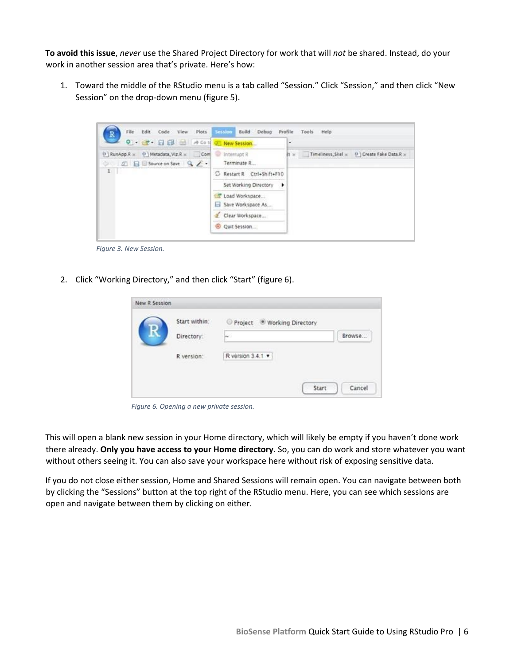**To avoid this issue**, *never* use the Shared Project Directory for work that will *not* be shared. Instead, do your work in another session area that's private. Here's how:

1. Toward the middle of the RStudio menu is a tab called "Session." Click "Session," and then click "New Session" on the drop-down menu (figure 5).



*Figure 3. New Session.*

2. Click "Working Directory," and then click "Start" (figure 6).

| Start within: | Project ® Working Directory |        |
|---------------|-----------------------------|--------|
| Directory:    | ú.                          | Browse |
| R version:    | R version 3.4.1 .           |        |
|               |                             |        |

*Figure 6. Opening a new private session.*

This will open a blank new session in your Home directory, which will likely be empty if you haven't done work there already. **Only you have access to your Home directory**. So, you can do work and store whatever you want without others seeing it. You can also save your workspace here without risk of exposing sensitive data.

If you do not close either session, Home and Shared Sessions will remain open. You can navigate between both by clicking the "Sessions" button at the top right of the RStudio menu. Here, you can see which sessions are open and navigate between them by clicking on either.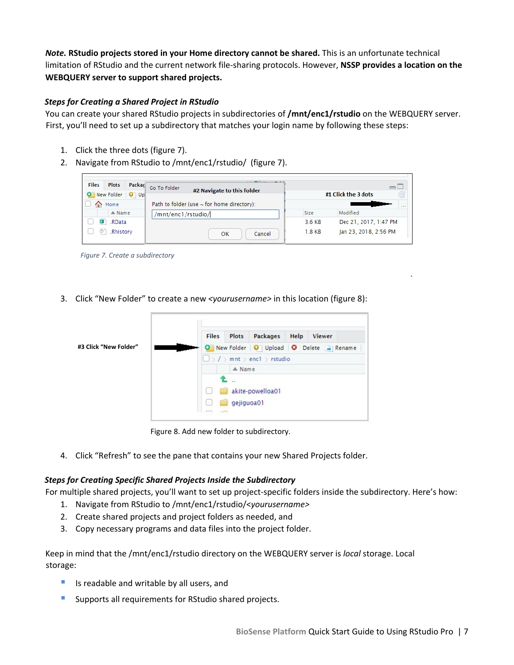*Note.* **RStudio projects stored in your Home directory cannot be shared.** This is an unfortunate technical limitation of RStudio and the current network file-sharing protocols. However, **NSSP provides a location on the WEBQUERY server to support shared projects.**

### *Steps for Creating a Shared Project in RStudio*

You can create your shared RStudio projects in subdirectories of **/mnt/enc1/rstudio** on the WEBQUERY server. First, you'll need to set up a subdirectory that matches your login name by following these steps:

- 1. Click the three dots (figure 7).
- 2. Navigate from RStudio to /mnt/enc1/rstudio/ (figure 7).



*Figure 7. Create a subdirectory*

3. Click "New Folder" to create a new *<yourusername>* in this location (figure 8):



Figure 8. Add new folder to subdirectory.

4. Click "Refresh" to see the pane that contains your new Shared Projects folder.

### *Steps for Creating Specific Shared Projects Inside the Subdirectory*

For multiple shared projects, you'll want to set up project-specific folders inside the subdirectory. Here's how:

- 1. Navigate from RStudio to /mnt/enc1/rstudio/<*yourusername>*
- 2. Create shared projects and project folders as needed, and
- 3. Copy necessary programs and data files into the project folder.

Keep in mind that the /mnt/enc1/rstudio directory on the WEBQUERY server is *local* storage. Local storage:

- Is readable and writable by all users, and
- Supports all requirements for RStudio shared projects.

.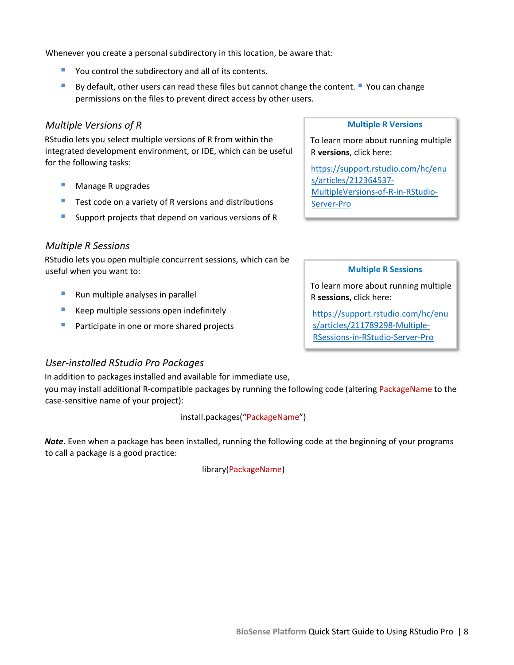Whenever you create a personal subdirectory in this location, be aware that:

- You control the subdirectory and all of its contents.
- By default, other users can read these files but cannot change the content. " You can change permissions on the files to prevent direct access by other users.

#### <span id="page-9-0"></span>*Multiple Versions of R*

RStudio lets you select multiple versions of R from within the integrated development environment, or IDE, which can be useful for the following tasks:

- **Manage R upgrades**
- Test code on a variety of R versions and distributions
- Support projects that depend on various versions of R

#### <span id="page-9-1"></span>*Multiple R Sessions*

RStudio lets you open multiple concurrent sessions, which can be useful when you want to:

- **Run multiple analyses in parallel**
- **Keep multiple sessions open indefinitely**
- Participate in one or more shared projects

#### **Multiple R Versions**

To learn more about running multiple R **versions**, click here:

[https://support.rstudio.com/hc/enu](https://support.rstudio.com/hc/en-us/articles/212364537-Multiple-Versions-of-R-in-RStudio-Server-Pro) [s/articles/212364537-](https://support.rstudio.com/hc/en-us/articles/212364537-Multiple-Versions-of-R-in-RStudio-Server-Pro) [MultipleVersions-of-R-in-RStudio-](https://support.rstudio.com/hc/en-us/articles/212364537-Multiple-Versions-of-R-in-RStudio-Server-Pro)[Server-Pro](https://support.rstudio.com/hc/en-us/articles/212364537-Multiple-Versions-of-R-in-RStudio-Server-Pro)

#### **Multiple R Sessions**

To learn more about running multiple R **sessions**, click here:

[https://support.rstudio.com/hc/enu](https://support.rstudio.com/hc/en-us/articles/211789298-Multiple-R-Sessions-in-RStudio-Server-Pro) [s/articles/211789298-Multiple-](https://support.rstudio.com/hc/en-us/articles/211789298-Multiple-R-Sessions-in-RStudio-Server-Pro)[RSessions-in-RStudio-Server-Pro](https://support.rstudio.com/hc/en-us/articles/211789298-Multiple-R-Sessions-in-RStudio-Server-Pro)

#### <span id="page-9-2"></span>*User-installed RStudio Pro Packages*

In addition to packages installed and available for immediate use,

you may install additional R-compatible packages by running the following code (altering PackageName to the case-sensitive name of your project):

#### install.packages("PackageName")

*Note***.** Even when a package has been installed, running the following code at the beginning of your programs to call a package is a good practice:

#### library(PackageName)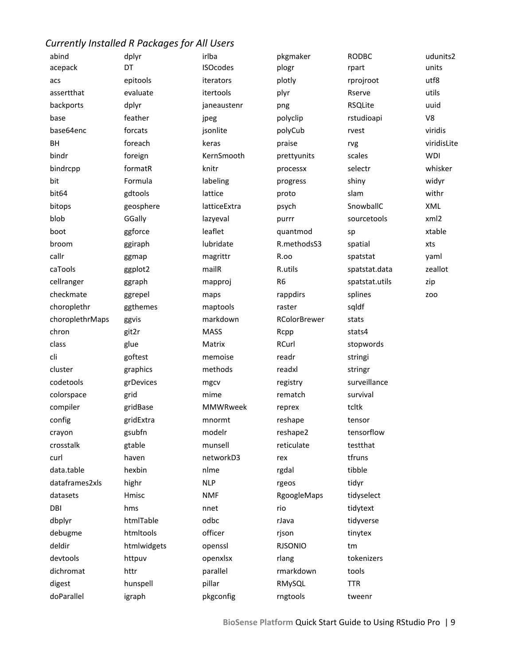# *Currently Installed R Packages for All Users*

| abind           | dplyr       | irlba           | pkgmaker            | <b>RODBC</b>   | udunits2    |
|-----------------|-------------|-----------------|---------------------|----------------|-------------|
| acepack         | DT          | <b>ISOcodes</b> | plogr               | rpart          | units       |
| acs             | epitools    | iterators       | plotly              | rprojroot      | utf8        |
| assertthat      | evaluate    | itertools       | plyr                | Rserve         | utils       |
| backports       | dplyr       | janeaustenr     | png                 | <b>RSQLite</b> | uuid        |
| base            | feather     | jpeg            | polyclip            | rstudioapi     | V8          |
| base64enc       | forcats     | jsonlite        | polyCub             | rvest          | viridis     |
| <b>BH</b>       | foreach     | keras           | praise              | rvg            | viridisLite |
| bindr           | foreign     | KernSmooth      | prettyunits         | scales         | <b>WDI</b>  |
| bindrcpp        | formatR     | knitr           | processx            | selectr        | whisker     |
| bit             | Formula     | labeling        | progress            | shiny          | widyr       |
| bit64           | gdtools     | lattice         | proto               | slam           | withr       |
| bitops          | geosphere   | latticeExtra    | psych               | SnowballC      | XML         |
| blob            | GGally      | lazyeval        | purrr               | sourcetools    | xml2        |
| boot            | ggforce     | leaflet         | quantmod            | sp             | xtable      |
| broom           | ggiraph     | lubridate       | R.methodsS3         | spatial        | xts         |
| callr           | ggmap       | magrittr        | R.oo                | spatstat       | yaml        |
| caTools         | ggplot2     | mailR           | R.utils             | spatstat.data  | zeallot     |
| cellranger      | ggraph      | mapproj         | R <sub>6</sub>      | spatstat.utils | zip         |
| checkmate       | ggrepel     | maps            | rappdirs            | splines        | <b>ZOO</b>  |
| choroplethr     | ggthemes    | maptools        | raster              | sqldf          |             |
| choroplethrMaps | ggvis       | markdown        | <b>RColorBrewer</b> | stats          |             |
| chron           | git2r       | <b>MASS</b>     | Rcpp                | stats4         |             |
| class           | glue        | Matrix          | RCurl               | stopwords      |             |
| cli             | goftest     | memoise         | readr               | stringi        |             |
| cluster         | graphics    | methods         | readxl              | stringr        |             |
| codetools       | grDevices   | mgcv            | registry            | surveillance   |             |
| colorspace      | grid        | mime            | rematch             | survival       |             |
| compiler        | gridBase    | <b>MMWRweek</b> | reprex              | tcltk          |             |
| config          | gridExtra   | mnormt          | reshape             | tensor         |             |
| crayon          | gsubfn      | modelr          | reshape2            | tensorflow     |             |
| crosstalk       | gtable      | munsell         | reticulate          | testthat       |             |
| curl            | haven       | networkD3       | rex                 | tfruns         |             |
| data.table      | hexbin      | nlme            | rgdal               | tibble         |             |
| dataframes2xls  | highr       | <b>NLP</b>      | rgeos               | tidyr          |             |
| datasets        | Hmisc       | <b>NMF</b>      | RgoogleMaps         | tidyselect     |             |
| DBI             | hms         | nnet            | rio                 | tidytext       |             |
| dbplyr          | htmlTable   | odbc            | rJava               | tidyverse      |             |
| debugme         | htmltools   | officer         | rjson               | tinytex        |             |
| deldir          | htmlwidgets | openssl         | <b>RJSONIO</b>      | tm             |             |
| devtools        | httpuv      | openxlsx        | rlang               | tokenizers     |             |
| dichromat       | httr        | parallel        | rmarkdown           | tools          |             |
| digest          | hunspell    | pillar          | RMySQL              | <b>TTR</b>     |             |
| doParallel      | igraph      | pkgconfig       | rngtools            | tweenr         |             |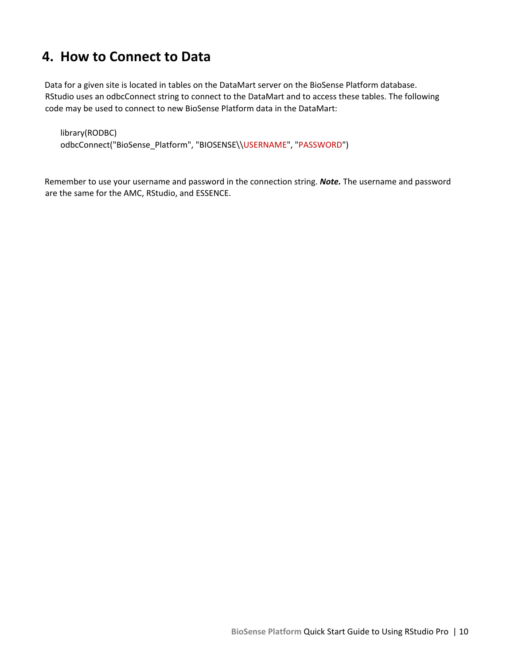# <span id="page-11-0"></span>**4. How to Connect to Data**

Data for a given site is located in tables on the DataMart server on the BioSense Platform database. RStudio uses an odbcConnect string to connect to the DataMart and to access these tables. The following code may be used to connect to new BioSense Platform data in the DataMart:

library(RODBC) odbcConnect("BioSense\_Platform", "BIOSENSE\\USERNAME", "PASSWORD")

Remember to use your username and password in the connection string. *Note.* The username and password are the same for the AMC, RStudio, and ESSENCE.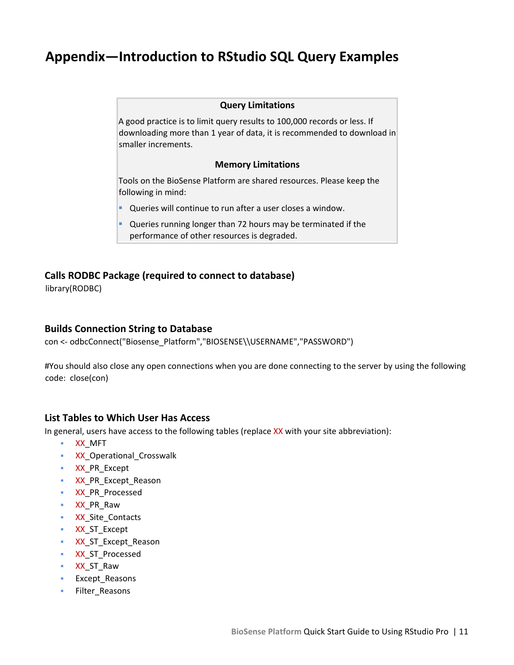# <span id="page-12-0"></span>**Appendix—Introduction to RStudio SQL Query Examples**

#### **Query Limitations**

A good practice is to limit query results to 100,000 records or less. If downloading more than 1 year of data, it is recommended to download in smaller increments.

#### **Memory Limitations**

Tools on the BioSense Platform are shared resources. Please keep the following in mind:

- Queries will continue to run after a user closes a window.
- Queries running longer than 72 hours may be terminated if the performance of other resources is degraded.

# <span id="page-12-1"></span>**Calls RODBC Package (required to connect to database)**

library(RODBC)

## <span id="page-12-2"></span>**Builds Connection String to Database**

con <- odbcConnect("Biosense\_Platform","BIOSENSE\\USERNAME","PASSWORD")

#You should also close any open connections when you are done connecting to the server by using the following code: close(con)

### <span id="page-12-3"></span>**List Tables to Which User Has Access**

In general, users have access to the following tables (replace XX with your site abbreviation):

- XX\_MFT
- **XX** Operational Crosswalk
- **XX\_PR\_Except**
- **XX\_PR\_Except\_Reason**
- **XX\_PR\_Processed**
- **xx** PR\_Raw
- **XX\_Site\_Contacts**
- **XX\_ST\_Except**
- **XX\_ST\_Except\_Reason**
- **XX\_ST\_Processed**
- XX\_ST\_Raw
- **Except Reasons**
- **Filter\_Reasons**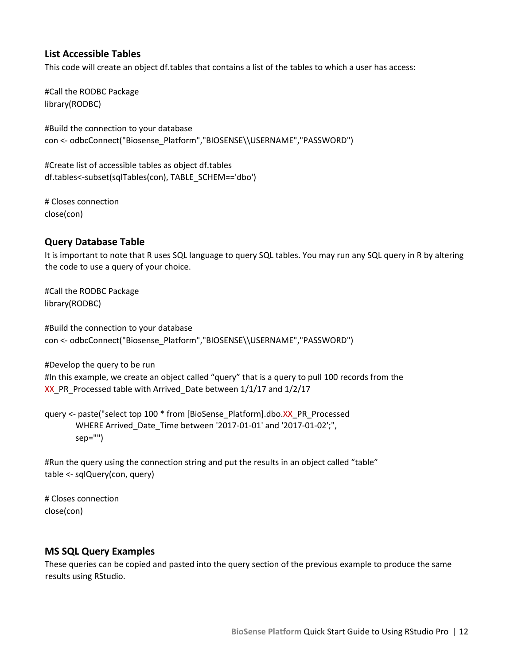# <span id="page-13-0"></span>**List Accessible Tables**

This code will create an object df.tables that contains a list of the tables to which a user has access:

#Call the RODBC Package library(RODBC)

#Build the connection to your database con <- odbcConnect("Biosense\_Platform","BIOSENSE\\USERNAME","PASSWORD")

#Create list of accessible tables as object df.tables df.tables<-subset(sqlTables(con), TABLE\_SCHEM=='dbo')

# Closes connection close(con)

### <span id="page-13-1"></span>**Query Database Table**

It is important to note that R uses SQL language to query SQL tables. You may run any SQL query in R by altering the code to use a query of your choice.

#Call the RODBC Package library(RODBC)

#Build the connection to your database con <- odbcConnect("Biosense\_Platform","BIOSENSE\\USERNAME","PASSWORD")

#Develop the query to be run #In this example, we create an object called "query" that is a query to pull 100 records from the XX PR Processed table with Arrived Date between  $1/1/17$  and  $1/2/17$ 

query <- paste("select top 100 \* from [BioSense\_Platform].dbo.XX\_PR\_Processed WHERE Arrived\_Date\_Time between '2017-01-01' and '2017-01-02';", sep="")

#Run the query using the connection string and put the results in an object called "table" table <- sqlQuery(con, query)

# Closes connection close(con)

### <span id="page-13-2"></span>**MS SQL Query Examples**

These queries can be copied and pasted into the query section of the previous example to produce the same results using RStudio.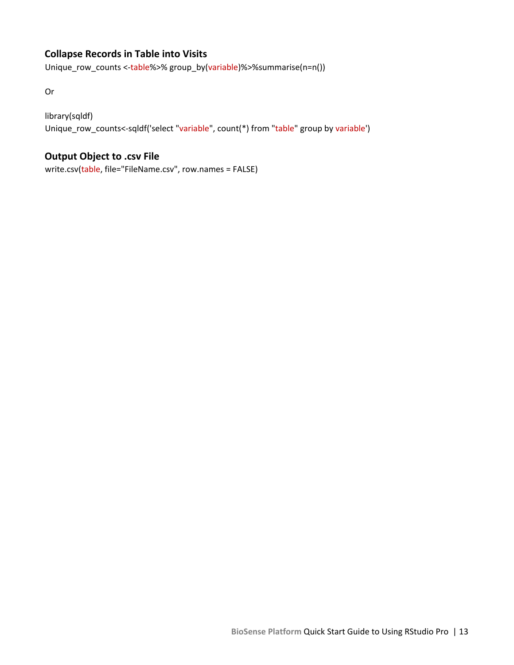# <span id="page-14-0"></span>**Collapse Records in Table into Visits**

Unique\_row\_counts <-table%>% group\_by(variable)%>%summarise(n=n())

Or

# library(sqldf)

Unique\_row\_counts<-sqldf('select "variable", count(\*) from "table" group by variable')

# <span id="page-14-1"></span>**Output Object to .csv File**

write.csv(table, file="FileName.csv", row.names = FALSE)